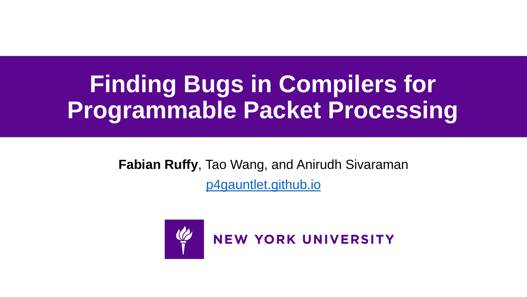# **Finding Bugs in Compilers for Programmable Packet Processing**

**Fabian Ruffy**, Tao Wang, and Anirudh Sivaraman [p4gauntlet.github.io](https://p4gauntlet.github.io/)

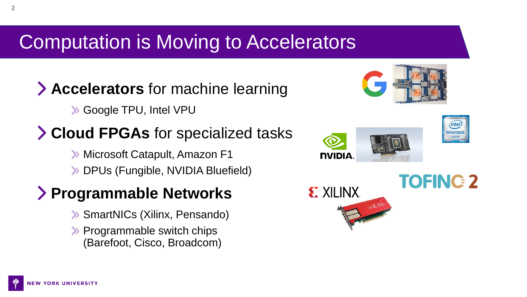# Computation is Moving to Accelerators

## **Accelerators** for machine learning

Google TPU, Intel VPU

## **Cloud FPGAs** for specialized tasks

**>> Microsoft Catapult, Amazon F1** DPUs (Fungible, NVIDIA Bluefield)

## **Programmable Networks**

- SmartNICs (Xilinx, Pensando)
- $\triangleright$  Programmable switch chips (Barefoot, Cisco, Broadcom)





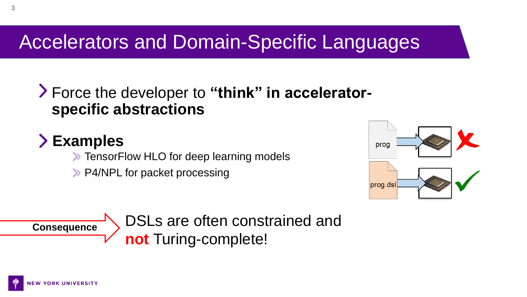# Accelerators and Domain-Specific Languages

## Force the developer to **"think" in acceleratorspecific abstractions**

## **Examples**

**EXA:** TensorFlow HLO for deep learning models

**>> P4/NPL for packet processing** 



**Consequence**

DSLs are often constrained and **not** Turing-complete!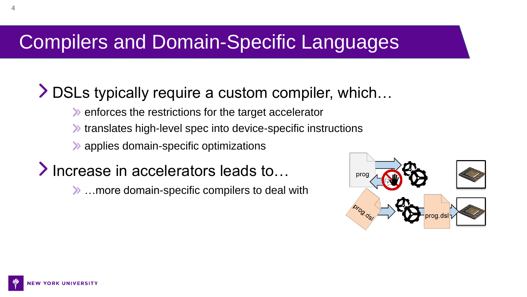# Compilers and Domain-Specific Languages

## DSLs typically require a custom compiler, which…

- $\blacktriangleright$  enforces the restrictions for the target accelerator
- **Inter-** translates high-level spec into device-specific instructions
- applies domain-specific optimizations
- **Exercise in accelerators leads to…** 
	- …more domain-specific compilers to deal with

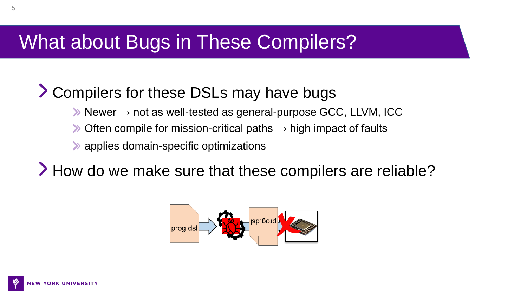## What about Bugs in These Compilers?

## Compilers for these DSLs may have bugs

- $\rightarrow$  Newer  $\rightarrow$  not as well-tested as general-purpose GCC, LLVM, ICC
- $\triangleright$  Often compile for mission-critical paths  $\rightarrow$  high impact of faults
- **Examplies domain-specific optimizations**

> How do we make sure that these compilers are reliable?

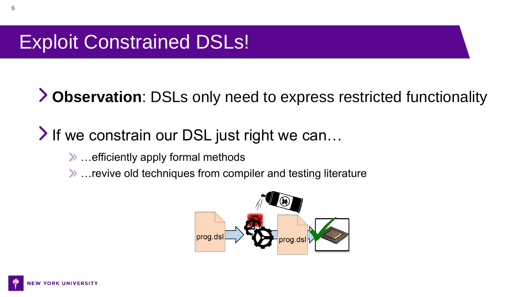# Exploit Constrained DSLs!

**Observation**: DSLs only need to express restricted functionality

## If we constrain our DSL just right we can...

- …efficiently apply formal methods
- …revive old techniques from compiler and testing literature

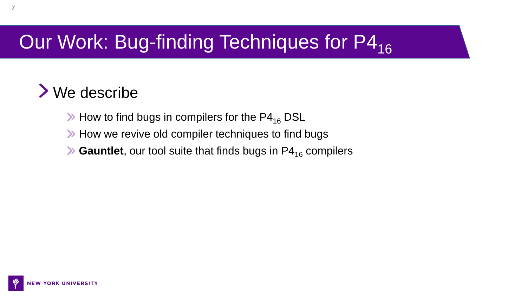# Our Work: Bug-finding Techniques for P4<sub>16</sub>

## We describe

- $\gg$  How to find bugs in compilers for the P4<sub>16</sub> DSL
- **>>** How we revive old compiler techniques to find bugs
- $\blacktriangleright$  **Gauntlet**, our tool suite that finds bugs in  $P4_{16}$  compilers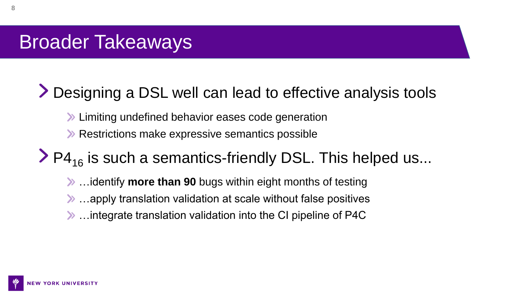# Broader Takeaways

## Designing a DSL well can lead to effective analysis tools

- **>> Limiting undefined behavior eases code generation**
- **>>** Restrictions make expressive semantics possible

## $\geq$  P4<sub>16</sub> is such a semantics-friendly DSL. This helped us...

- …identify **more than 90** bugs within eight months of testing
- …apply translation validation at scale without false positives
- …integrate translation validation into the CI pipeline of P4C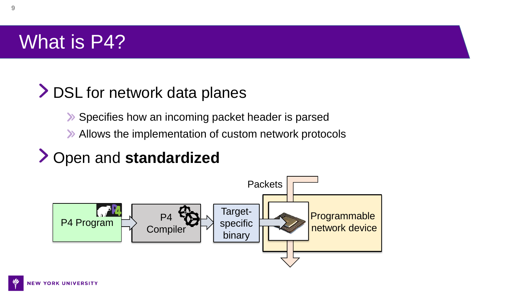# What is P4?

## > DSL for network data planes

- **>>** Specifies how an incoming packet header is parsed
- Allows the implementation of custom network protocols

## Open and **standardized**

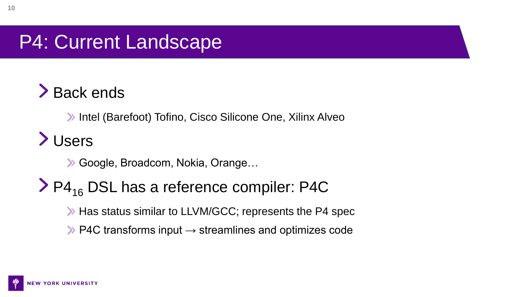# P4: Current Landscape

# > Back ends

**>>** Intel (Barefoot) Tofino, Cisco Silicone One, Xilinx Alveo

# Users

Google, Broadcom, Nokia, Orange…

## $\geq$  P4<sub>16</sub> DSL has a reference compiler: P4C

- **Example 3 Has status similar to LLVM/GCC; represents the P4 spec**
- $\triangleright$  P4C transforms input  $\rightarrow$  streamlines and optimizes code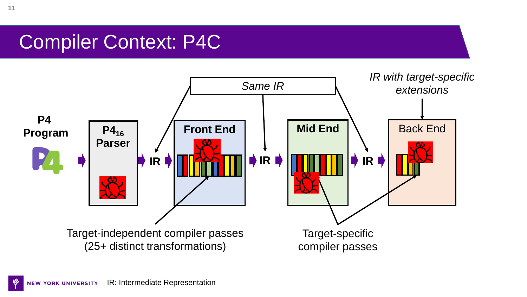## Compiler Context: P4C

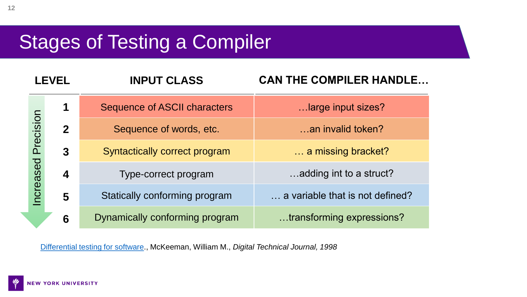# Stages of Testing a Compiler

| LEVEL                   |                  | <b>INPUT CLASS</b>                   | <b>CAN THE COMPILER HANDLE</b>  |
|-------------------------|------------------|--------------------------------------|---------------------------------|
|                         | 1                | <b>Sequence of ASCII characters</b>  | large input sizes?              |
| Precision               | $\mathbf 2$      | Sequence of words, etc.              | an invalid token?               |
|                         | 3                | <b>Syntactically correct program</b> | a missing bracket?              |
| eased                   | $\boldsymbol{4}$ | Type-correct program                 | adding int to a struct?         |
| $\overline{\mathbf{C}}$ | 5                | Statically conforming program        | a variable that is not defined? |
|                         | 6                | Dynamically conforming program       | transforming expressions?       |

[Differential testing for software](https://www.cs.swarthmore.edu/~bylvisa1/cs97/f13/Papers/DifferentialTestingForSoftware.pdf)., McKeeman, William M., *Digital Technical Journal, 1998*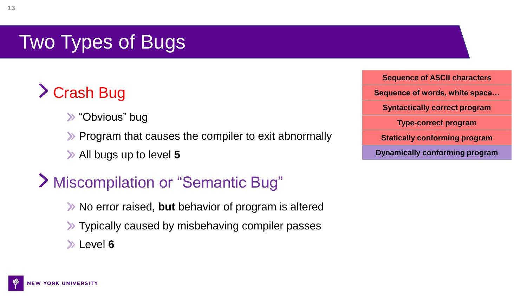# Two Types of Bugs

# Crash Bug

- "Obvious" bug
- **Example 2** Program that causes the compiler to exit abnormally
- All bugs up to level **5**

## Miscompilation or "Semantic Bug"

- No error raised, **but** behavior of program is altered
- **X** Typically caused by misbehaving compiler passes
- Level **6**

**Sequence of ASCII characters Sequence of words, white space… Syntactically correct program Type-correct program Statically conforming program Dynamically conforming program**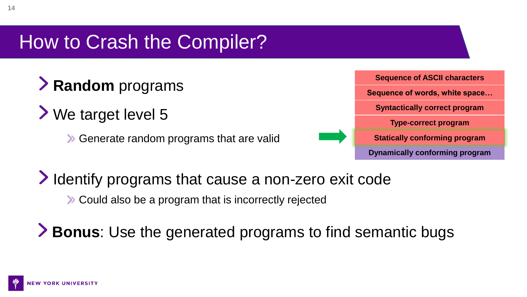# How to Crash the Compiler?

- **Random** programs
- We target level 5
	- Generate random programs that are valid



- I dentify programs that cause a non-zero exit code
	- **EX** Could also be a program that is incorrectly rejected

**Bonus**: Use the generated programs to find semantic bugs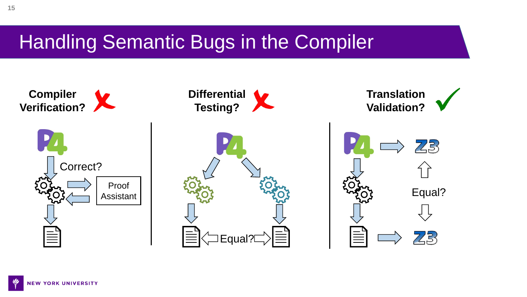## Handling Semantic Bugs in the Compiler

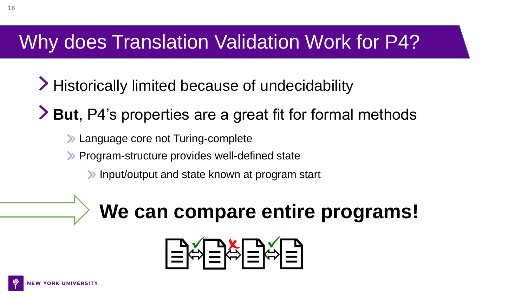# Why does Translation Validation Work for P4?

- > Historically limited because of undecidability
- **But**, P4's properties are a great fit for formal methods
	- **Example 20 Section** 2016 Turing-complete
	- **>>** Program-structure provides well-defined state
		- **Input/output and state known at program start**

# **We can compare entire programs!**

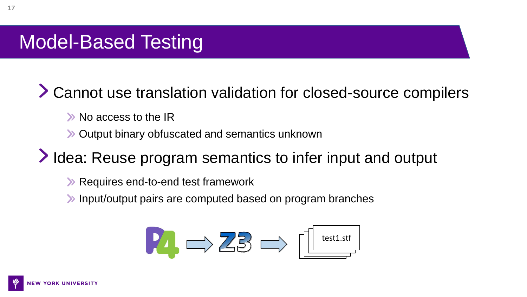# Model-Based Testing

Cannot use translation validation for closed-source compilers

- >> No access to the IR
- Output binary obfuscated and semantics unknown

Idea: Reuse program semantics to infer input and output

- **EXA Requires end-to-end test framework**
- Input/output pairs are computed based on program branches

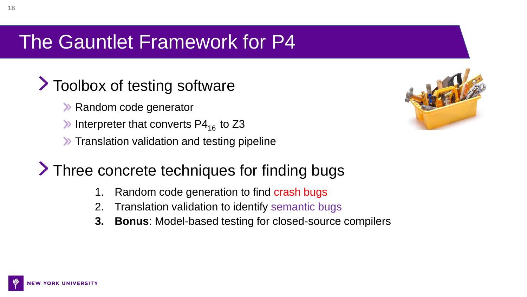# The Gauntlet Framework for P4

## **Toolbox of testing software**

- **>> Random code generator**
- Interpreter that converts  $P4_{16}$  to Z3
- **X** Translation validation and testing pipeline

## > Three concrete techniques for finding bugs

- 1. Random code generation to find crash bugs
- 2. Translation validation to identify semantic bugs
- **3. Bonus**: Model-based testing for closed-source compilers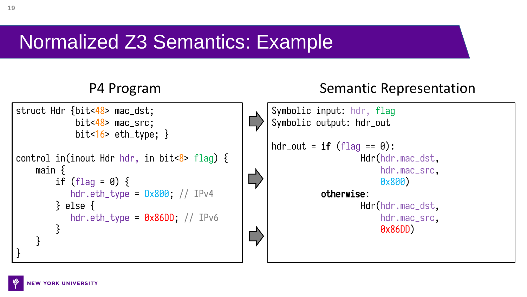## Normalized Z3 Semantics: Example

### P4 Program Semantic Representation

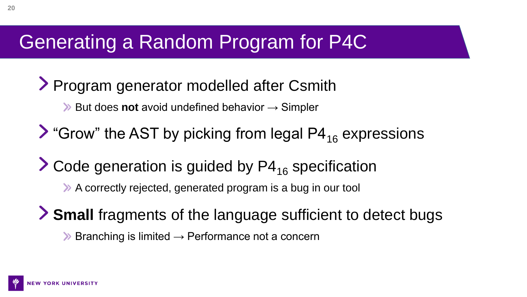# Generating a Random Program for P4C

## Program generator modelled after Csmith

- **EXA But does not avoid undefined behavior → Simpler**
- $\triangleright$  "Grow" the AST by picking from legal P4<sub>16</sub> expressions
- $\geq$  Code generation is guided by P4<sub>16</sub> specification
	- A correctly rejected, generated program is a bug in our tool
- **Small** fragments of the language sufficient to detect bugs  $\triangleright$  Branching is limited  $\rightarrow$  Performance not a concern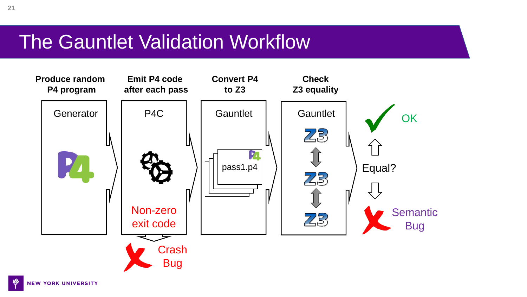## The Gauntlet Validation Workflow

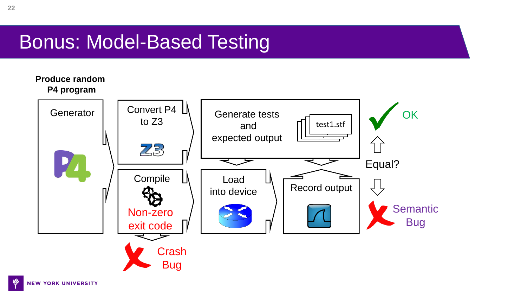# Bonus: Model-Based Testing

### **Produce random P4 program**

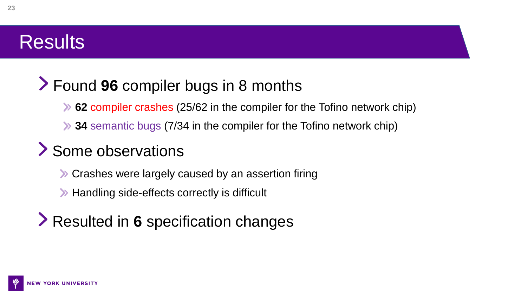## **Results**

## Found **96** compiler bugs in 8 months

- **62** compiler crashes (25/62 in the compiler for the Tofino network chip)
- **34** semantic bugs (7/34 in the compiler for the Tofino network chip)

## Some observations

- **X** Crashes were largely caused by an assertion firing
- **EXA:** Handling side-effects correctly is difficult

## Resulted in **6** specification changes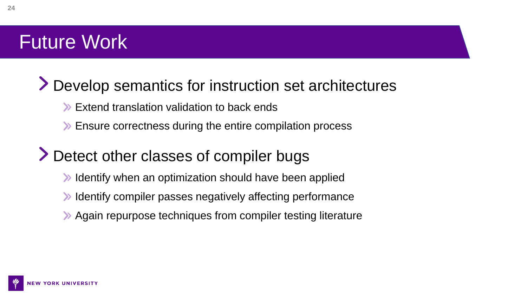# Future Work

## Develop semantics for instruction set architectures

- **Extend translation validation to back ends**
- **Ensure correctness during the entire compilation process**

## > Detect other classes of compiler bugs

- **IDED** Identify when an optimization should have been applied
- **IDED** Identify compiler passes negatively affecting performance
- Again repurpose techniques from compiler testing literature